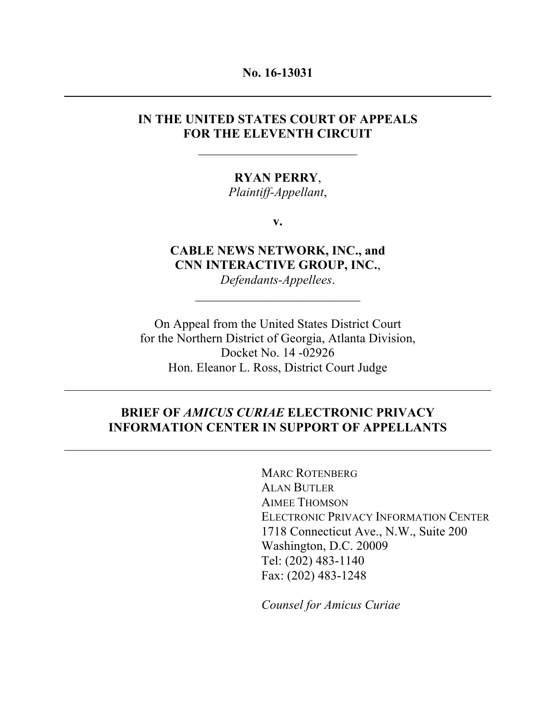#### **No. 16-13031**

## **IN THE UNITED STATES COURT OF APPEALS FOR THE ELEVENTH CIRCUIT**

 $\overline{\phantom{a}}$  , where  $\overline{\phantom{a}}$ 

### **RYAN PERRY**,

*Plaintiff-Appellant*,

**v.**

**CABLE NEWS NETWORK, INC., and CNN INTERACTIVE GROUP, INC.**, *Defendants-Appellees*.

On Appeal from the United States District Court for the Northern District of Georgia, Atlanta Division, Docket No. 14 -02926 Hon. Eleanor L. Ross, District Court Judge

## **BRIEF OF** *AMICUS CURIAE* **ELECTRONIC PRIVACY INFORMATION CENTER IN SUPPORT OF APPELLANTS**

MARC ROTENBERG ALAN BUTLER AIMEE THOMSON ELECTRONIC PRIVACY INFORMATION CENTER 1718 Connecticut Ave., N.W., Suite 200 Washington, D.C. 20009 Tel: (202) 483-1140 Fax: (202) 483-1248

*Counsel for Amicus Curiae*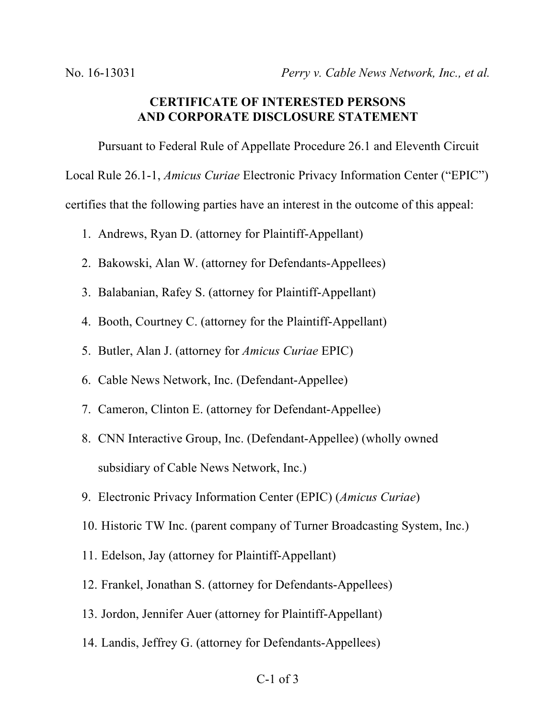## **CERTIFICATE OF INTERESTED PERSONS AND CORPORATE DISCLOSURE STATEMENT**

Pursuant to Federal Rule of Appellate Procedure 26.1 and Eleventh Circuit Local Rule 26.1-1, *Amicus Curiae* Electronic Privacy Information Center ("EPIC") certifies that the following parties have an interest in the outcome of this appeal:

- 1. Andrews, Ryan D. (attorney for Plaintiff-Appellant)
- 2. Bakowski, Alan W. (attorney for Defendants-Appellees)
- 3. Balabanian, Rafey S. (attorney for Plaintiff-Appellant)
- 4. Booth, Courtney C. (attorney for the Plaintiff-Appellant)
- 5. Butler, Alan J. (attorney for *Amicus Curiae* EPIC)
- 6. Cable News Network, Inc. (Defendant-Appellee)
- 7. Cameron, Clinton E. (attorney for Defendant-Appellee)
- 8. CNN Interactive Group, Inc. (Defendant-Appellee) (wholly owned subsidiary of Cable News Network, Inc.)
- 9. Electronic Privacy Information Center (EPIC) (*Amicus Curiae*)
- 10. Historic TW Inc. (parent company of Turner Broadcasting System, Inc.)
- 11. Edelson, Jay (attorney for Plaintiff-Appellant)
- 12. Frankel, Jonathan S. (attorney for Defendants-Appellees)
- 13. Jordon, Jennifer Auer (attorney for Plaintiff-Appellant)
- 14. Landis, Jeffrey G. (attorney for Defendants-Appellees)

#### C-1 of 3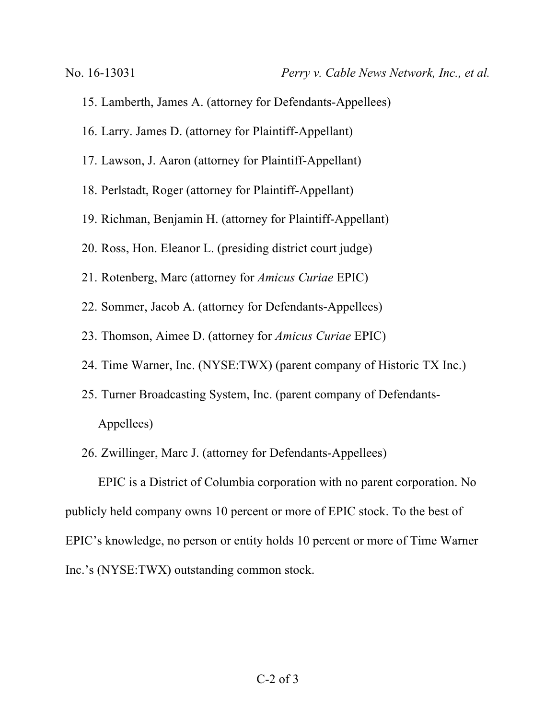- 15. Lamberth, James A. (attorney for Defendants-Appellees)
- 16. Larry. James D. (attorney for Plaintiff-Appellant)
- 17. Lawson, J. Aaron (attorney for Plaintiff-Appellant)
- 18. Perlstadt, Roger (attorney for Plaintiff-Appellant)
- 19. Richman, Benjamin H. (attorney for Plaintiff-Appellant)
- 20. Ross, Hon. Eleanor L. (presiding district court judge)
- 21. Rotenberg, Marc (attorney for *Amicus Curiae* EPIC)
- 22. Sommer, Jacob A. (attorney for Defendants-Appellees)
- 23. Thomson, Aimee D. (attorney for *Amicus Curiae* EPIC)
- 24. Time Warner, Inc. (NYSE:TWX) (parent company of Historic TX Inc.)
- 25. Turner Broadcasting System, Inc. (parent company of Defendants-Appellees)
- 26. Zwillinger, Marc J. (attorney for Defendants-Appellees)

EPIC is a District of Columbia corporation with no parent corporation. No publicly held company owns 10 percent or more of EPIC stock. To the best of EPIC's knowledge, no person or entity holds 10 percent or more of Time Warner Inc.'s (NYSE:TWX) outstanding common stock.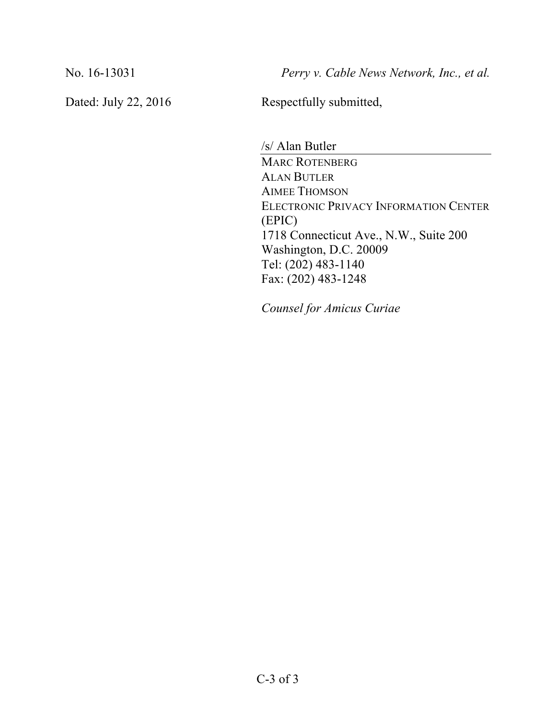No. 16-13031 *Perry v. Cable News Network, Inc., et al.*

Dated: July 22, 2016 Respectfully submitted,

/s/ Alan Butler MARC ROTENBERG ALAN BUTLER AIMEE THOMSON ELECTRONIC PRIVACY INFORMATION CENTER (EPIC) 1718 Connecticut Ave., N.W., Suite 200 Washington, D.C. 20009 Tel: (202) 483-1140 Fax: (202) 483-1248

*Counsel for Amicus Curiae*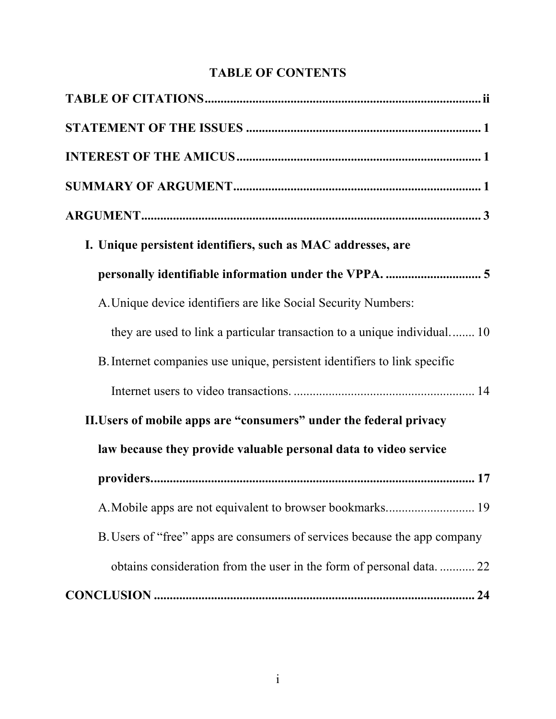# **TABLE OF CONTENTS**

| I. Unique persistent identifiers, such as MAC addresses, are              |  |
|---------------------------------------------------------------------------|--|
|                                                                           |  |
| A. Unique device identifiers are like Social Security Numbers:            |  |
| they are used to link a particular transaction to a unique individual 10  |  |
| B. Internet companies use unique, persistent identifiers to link specific |  |
|                                                                           |  |
| II. Users of mobile apps are "consumers" under the federal privacy        |  |
| law because they provide valuable personal data to video service          |  |
|                                                                           |  |
|                                                                           |  |
| B. Users of "free" apps are consumers of services because the app company |  |
| obtains consideration from the user in the form of personal data22        |  |
|                                                                           |  |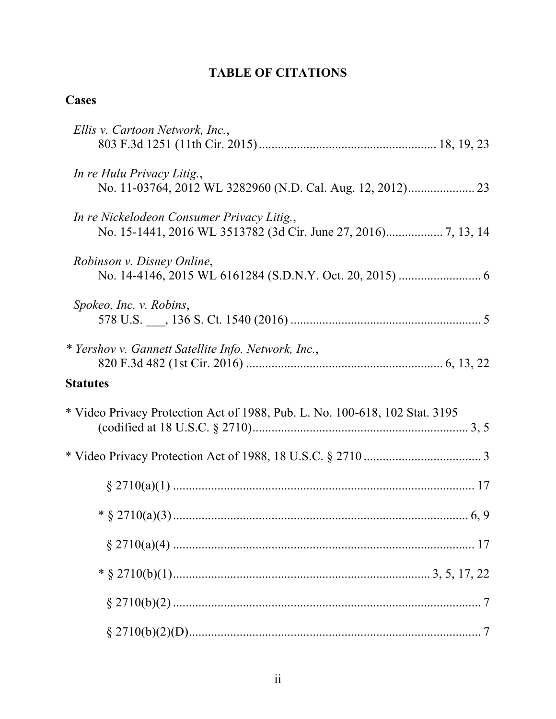# **TABLE OF CITATIONS**

# **Cases**

| Ellis v. Cartoon Network, Inc.,                                             |
|-----------------------------------------------------------------------------|
| In re Hulu Privacy Litig.,                                                  |
| In re Nickelodeon Consumer Privacy Litig.,                                  |
| Robinson v. Disney Online,                                                  |
| Spokeo, Inc. v. Robins,                                                     |
| * Yershov v. Gannett Satellite Info. Network, Inc.,                         |
| <b>Statutes</b>                                                             |
| * Video Privacy Protection Act of 1988, Pub. L. No. 100-618, 102 Stat. 3195 |
|                                                                             |
|                                                                             |
|                                                                             |
|                                                                             |
|                                                                             |
|                                                                             |
|                                                                             |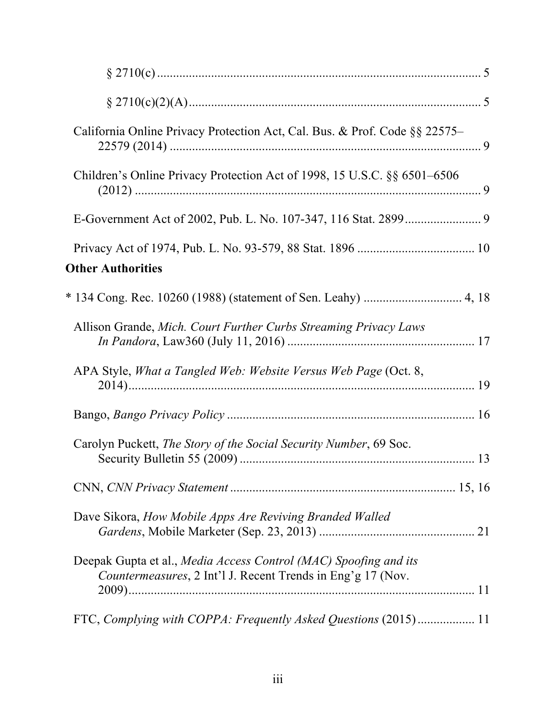| California Online Privacy Protection Act, Cal. Bus. & Prof. Code §§ 22575–                                                      |  |
|---------------------------------------------------------------------------------------------------------------------------------|--|
| Children's Online Privacy Protection Act of 1998, 15 U.S.C. §§ 6501–6506                                                        |  |
|                                                                                                                                 |  |
|                                                                                                                                 |  |
| <b>Other Authorities</b>                                                                                                        |  |
|                                                                                                                                 |  |
| Allison Grande, Mich. Court Further Curbs Streaming Privacy Laws                                                                |  |
| APA Style, What a Tangled Web: Website Versus Web Page (Oct. 8,                                                                 |  |
|                                                                                                                                 |  |
| Carolyn Puckett, The Story of the Social Security Number, 69 Soc.                                                               |  |
|                                                                                                                                 |  |
| Dave Sikora, How Mobile Apps Are Reviving Branded Walled                                                                        |  |
| Deepak Gupta et al., Media Access Control (MAC) Spoofing and its<br>Countermeasures, 2 Int'l J. Recent Trends in Eng'g 17 (Nov. |  |
| FTC, Complying with COPPA: Frequently Asked Questions (2015) 11                                                                 |  |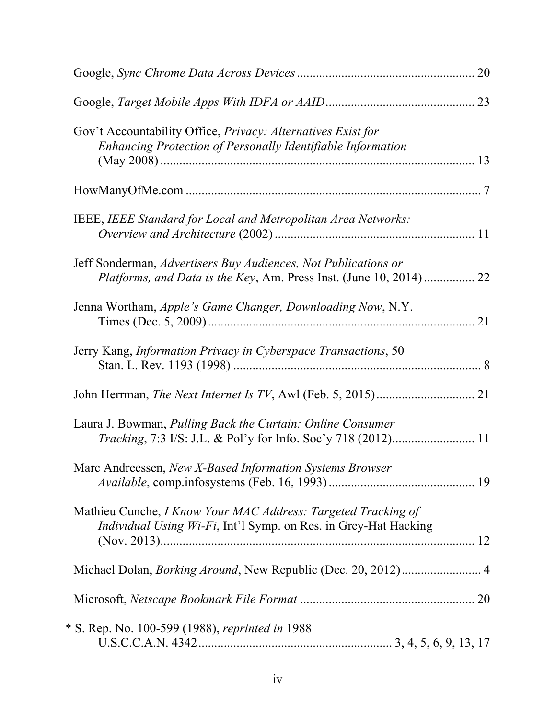|                                                                                                                                      | 20 |
|--------------------------------------------------------------------------------------------------------------------------------------|----|
|                                                                                                                                      |    |
| Gov't Accountability Office, Privacy: Alternatives Exist for<br>Enhancing Protection of Personally Identifiable Information          | 13 |
|                                                                                                                                      |    |
| IEEE, IEEE Standard for Local and Metropolitan Area Networks:                                                                        |    |
| Jeff Sonderman, Advertisers Buy Audiences, Not Publications or<br>Platforms, and Data is the Key, Am. Press Inst. (June 10, 2014) 22 |    |
| Jenna Wortham, Apple's Game Changer, Downloading Now, N.Y.                                                                           | 21 |
| Jerry Kang, Information Privacy in Cyberspace Transactions, 50                                                                       |    |
|                                                                                                                                      |    |
| Laura J. Bowman, Pulling Back the Curtain: Online Consumer                                                                           |    |
| Marc Andreessen, New X-Based Information Systems Browser                                                                             |    |
| Mathieu Cunche, I Know Your MAC Address: Targeted Tracking of<br>Individual Using Wi-Fi, Int'l Symp. on Res. in Grey-Hat Hacking     |    |
| Michael Dolan, <i>Borking Around</i> , New Republic (Dec. 20, 2012) 4                                                                |    |
|                                                                                                                                      |    |
| * S. Rep. No. 100-599 (1988), reprinted in 1988                                                                                      |    |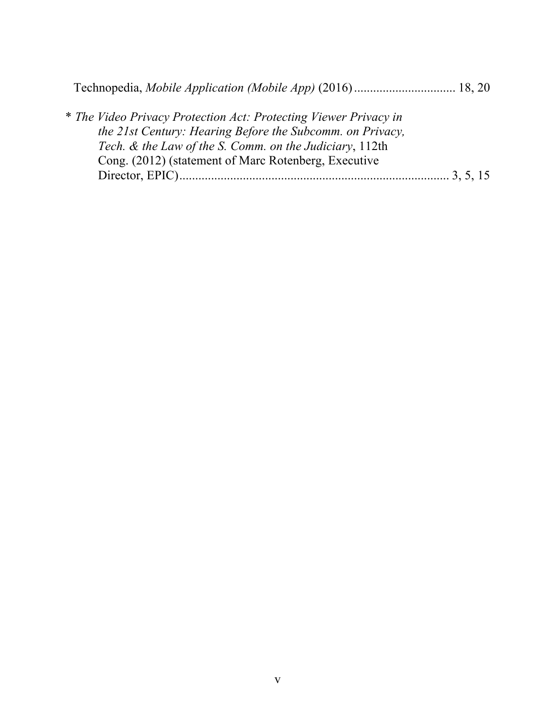|--|--|--|

| * The Video Privacy Protection Act: Protecting Viewer Privacy in |
|------------------------------------------------------------------|
| the 21st Century: Hearing Before the Subcomm. on Privacy,        |
| Tech. & the Law of the S. Comm. on the Judiciary, 112th          |
| Cong. (2012) (statement of Marc Rotenberg, Executive             |
|                                                                  |
|                                                                  |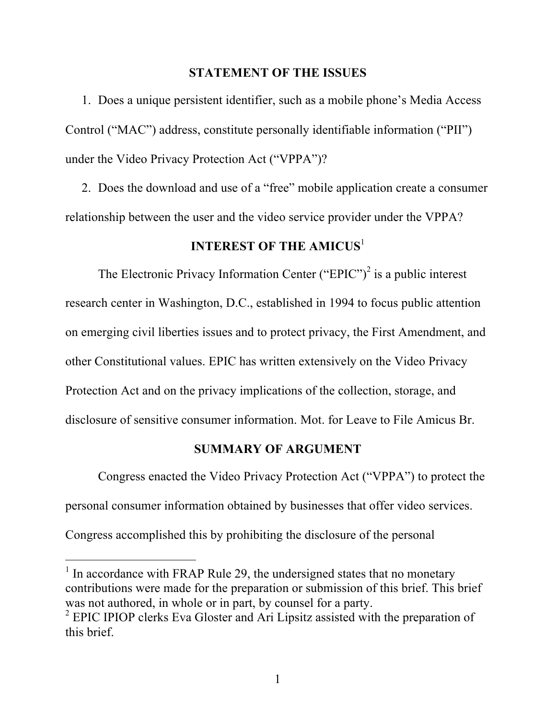#### **STATEMENT OF THE ISSUES**

1. Does a unique persistent identifier, such as a mobile phone's Media Access Control ("MAC") address, constitute personally identifiable information ("PII") under the Video Privacy Protection Act ("VPPA")?

2. Does the download and use of a "free" mobile application create a consumer relationship between the user and the video service provider under the VPPA?

## **INTEREST OF THE AMICUS**<sup>1</sup>

The Electronic Privacy Information Center ("EPIC")<sup>2</sup> is a public interest research center in Washington, D.C., established in 1994 to focus public attention on emerging civil liberties issues and to protect privacy, the First Amendment, and other Constitutional values. EPIC has written extensively on the Video Privacy Protection Act and on the privacy implications of the collection, storage, and disclosure of sensitive consumer information. Mot. for Leave to File Amicus Br.

#### **SUMMARY OF ARGUMENT**

Congress enacted the Video Privacy Protection Act ("VPPA") to protect the personal consumer information obtained by businesses that offer video services.

Congress accomplished this by prohibiting the disclosure of the personal

l

 $<sup>1</sup>$  In accordance with FRAP Rule 29, the undersigned states that no monetary</sup> contributions were made for the preparation or submission of this brief. This brief was not authored, in whole or in part, by counsel for a party.

<sup>&</sup>lt;sup>2</sup> EPIC IPIOP clerks Eva Gloster and Ari Lipsitz assisted with the preparation of this brief.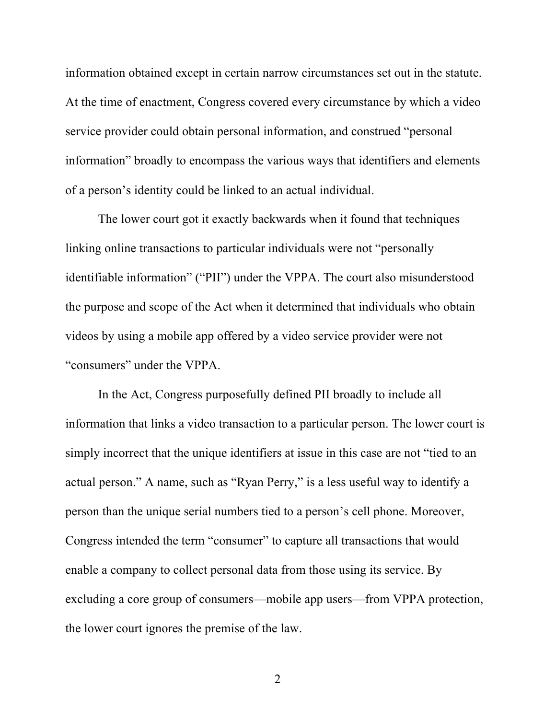information obtained except in certain narrow circumstances set out in the statute. At the time of enactment, Congress covered every circumstance by which a video service provider could obtain personal information, and construed "personal information" broadly to encompass the various ways that identifiers and elements of a person's identity could be linked to an actual individual.

The lower court got it exactly backwards when it found that techniques linking online transactions to particular individuals were not "personally identifiable information" ("PII") under the VPPA. The court also misunderstood the purpose and scope of the Act when it determined that individuals who obtain videos by using a mobile app offered by a video service provider were not "consumers" under the VPPA.

In the Act, Congress purposefully defined PII broadly to include all information that links a video transaction to a particular person. The lower court is simply incorrect that the unique identifiers at issue in this case are not "tied to an actual person." A name, such as "Ryan Perry," is a less useful way to identify a person than the unique serial numbers tied to a person's cell phone. Moreover, Congress intended the term "consumer" to capture all transactions that would enable a company to collect personal data from those using its service. By excluding a core group of consumers—mobile app users—from VPPA protection, the lower court ignores the premise of the law.

2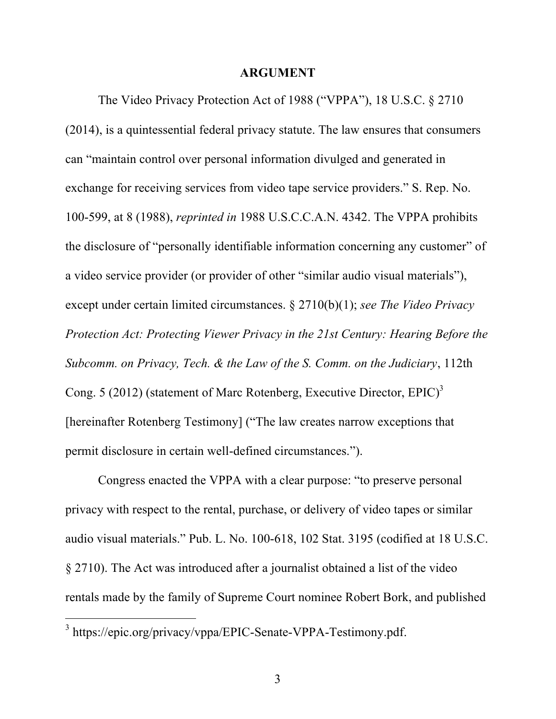#### **ARGUMENT**

The Video Privacy Protection Act of 1988 ("VPPA"), 18 U.S.C. § 2710 (2014), is a quintessential federal privacy statute. The law ensures that consumers can "maintain control over personal information divulged and generated in exchange for receiving services from video tape service providers." S. Rep. No. 100-599, at 8 (1988), *reprinted in* 1988 U.S.C.C.A.N. 4342. The VPPA prohibits the disclosure of "personally identifiable information concerning any customer" of a video service provider (or provider of other "similar audio visual materials"), except under certain limited circumstances. § 2710(b)(1); *see The Video Privacy Protection Act: Protecting Viewer Privacy in the 21st Century: Hearing Before the Subcomm. on Privacy, Tech. & the Law of the S. Comm. on the Judiciary*, 112th Cong. 5 (2012) (statement of Marc Rotenberg, Executive Director, EPIC)<sup>3</sup> [hereinafter Rotenberg Testimony] ("The law creates narrow exceptions that permit disclosure in certain well-defined circumstances.").

Congress enacted the VPPA with a clear purpose: "to preserve personal privacy with respect to the rental, purchase, or delivery of video tapes or similar audio visual materials." Pub. L. No. 100-618, 102 Stat. 3195 (codified at 18 U.S.C. § 2710). The Act was introduced after a journalist obtained a list of the video rentals made by the family of Supreme Court nominee Robert Bork, and published

<sup>3</sup> https://epic.org/privacy/vppa/EPIC-Senate-VPPA-Testimony.pdf.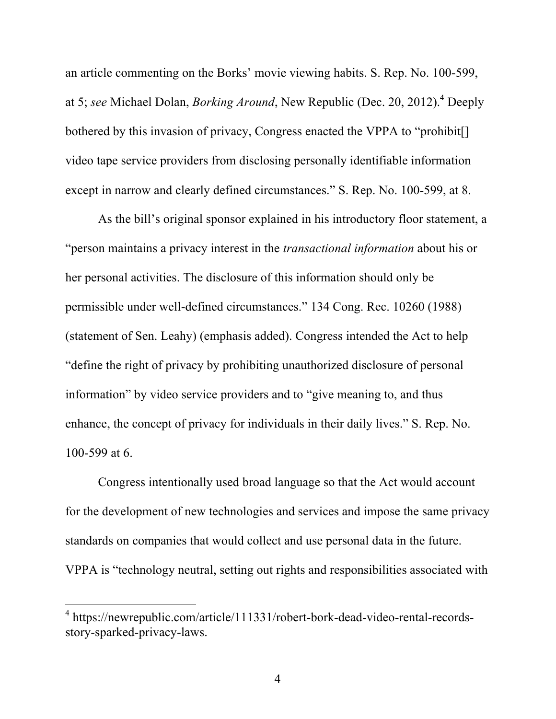an article commenting on the Borks' movie viewing habits. S. Rep. No. 100-599, at 5; *see* Michael Dolan, *Borking Around*, New Republic (Dec. 20, 2012). <sup>4</sup> Deeply bothered by this invasion of privacy, Congress enacted the VPPA to "prohibit[] video tape service providers from disclosing personally identifiable information except in narrow and clearly defined circumstances." S. Rep. No. 100-599, at 8.

As the bill's original sponsor explained in his introductory floor statement, a "person maintains a privacy interest in the *transactional information* about his or her personal activities. The disclosure of this information should only be permissible under well-defined circumstances." 134 Cong. Rec. 10260 (1988) (statement of Sen. Leahy) (emphasis added). Congress intended the Act to help "define the right of privacy by prohibiting unauthorized disclosure of personal information" by video service providers and to "give meaning to, and thus enhance, the concept of privacy for individuals in their daily lives." S. Rep. No. 100-599 at 6.

Congress intentionally used broad language so that the Act would account for the development of new technologies and services and impose the same privacy standards on companies that would collect and use personal data in the future. VPPA is "technology neutral, setting out rights and responsibilities associated with

<sup>&</sup>lt;sup>4</sup> https://newrepublic.com/article/111331/robert-bork-dead-video-rental-recordsstory-sparked-privacy-laws.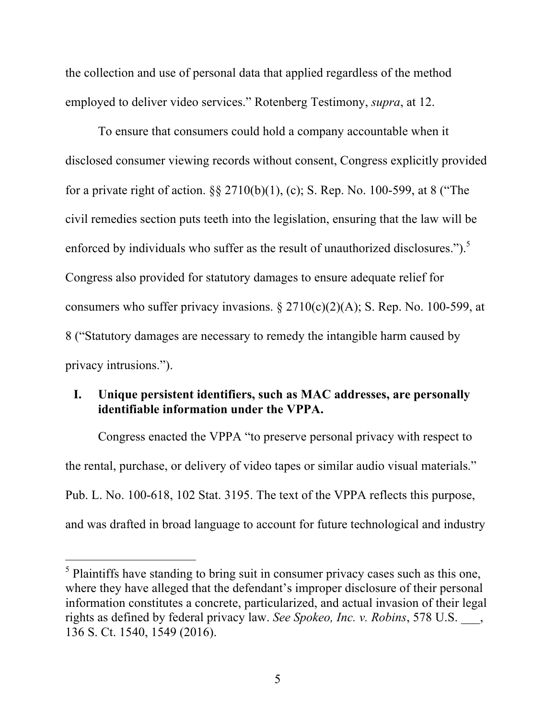the collection and use of personal data that applied regardless of the method employed to deliver video services." Rotenberg Testimony, *supra*, at 12.

To ensure that consumers could hold a company accountable when it disclosed consumer viewing records without consent, Congress explicitly provided for a private right of action. §§ 2710(b)(1), (c); S. Rep. No. 100-599, at 8 ("The civil remedies section puts teeth into the legislation, ensuring that the law will be enforced by individuals who suffer as the result of unauthorized disclosures.").<sup>5</sup> Congress also provided for statutory damages to ensure adequate relief for consumers who suffer privacy invasions. § 2710(c)(2)(A); S. Rep. No. 100-599, at 8 ("Statutory damages are necessary to remedy the intangible harm caused by privacy intrusions.").

## **I. Unique persistent identifiers, such as MAC addresses, are personally identifiable information under the VPPA.**

Congress enacted the VPPA "to preserve personal privacy with respect to the rental, purchase, or delivery of video tapes or similar audio visual materials." Pub. L. No. 100-618, 102 Stat. 3195. The text of the VPPA reflects this purpose, and was drafted in broad language to account for future technological and industry

l

<sup>&</sup>lt;sup>5</sup> Plaintiffs have standing to bring suit in consumer privacy cases such as this one, where they have alleged that the defendant's improper disclosure of their personal information constitutes a concrete, particularized, and actual invasion of their legal rights as defined by federal privacy law. *See Spokeo, Inc. v. Robins*, 578 U.S. \_\_\_, 136 S. Ct. 1540, 1549 (2016).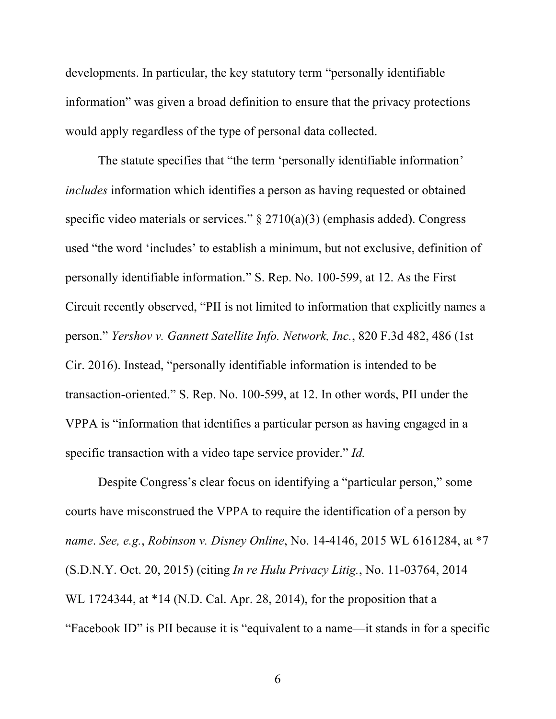developments. In particular, the key statutory term "personally identifiable information" was given a broad definition to ensure that the privacy protections would apply regardless of the type of personal data collected.

The statute specifies that "the term 'personally identifiable information' *includes* information which identifies a person as having requested or obtained specific video materials or services."  $\S 2710(a)(3)$  (emphasis added). Congress used "the word 'includes' to establish a minimum, but not exclusive, definition of personally identifiable information." S. Rep. No. 100-599, at 12. As the First Circuit recently observed, "PII is not limited to information that explicitly names a person." *Yershov v. Gannett Satellite Info. Network, Inc.*, 820 F.3d 482, 486 (1st Cir. 2016). Instead, "personally identifiable information is intended to be transaction-oriented." S. Rep. No. 100-599, at 12. In other words, PII under the VPPA is "information that identifies a particular person as having engaged in a specific transaction with a video tape service provider." *Id.*

Despite Congress's clear focus on identifying a "particular person," some courts have misconstrued the VPPA to require the identification of a person by *name*. *See, e.g.*, *Robinson v. Disney Online*, No. 14-4146, 2015 WL 6161284, at \*7 (S.D.N.Y. Oct. 20, 2015) (citing *In re Hulu Privacy Litig.*, No. 11-03764, 2014 WL 1724344, at \*14 (N.D. Cal. Apr. 28, 2014), for the proposition that a "Facebook ID" is PII because it is "equivalent to a name—it stands in for a specific

6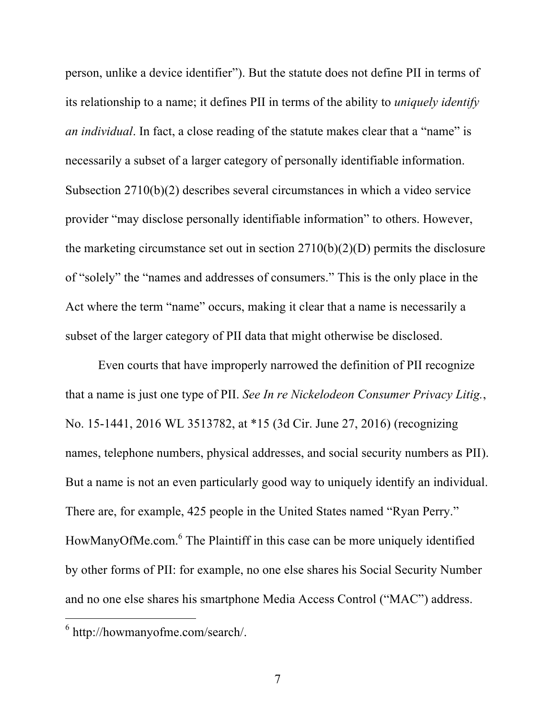person, unlike a device identifier"). But the statute does not define PII in terms of its relationship to a name; it defines PII in terms of the ability to *uniquely identify an individual*. In fact, a close reading of the statute makes clear that a "name" is necessarily a subset of a larger category of personally identifiable information. Subsection 2710(b)(2) describes several circumstances in which a video service provider "may disclose personally identifiable information" to others. However, the marketing circumstance set out in section  $2710(b)(2)(D)$  permits the disclosure of "solely" the "names and addresses of consumers." This is the only place in the Act where the term "name" occurs, making it clear that a name is necessarily a subset of the larger category of PII data that might otherwise be disclosed.

Even courts that have improperly narrowed the definition of PII recognize that a name is just one type of PII. *See In re Nickelodeon Consumer Privacy Litig.*, No. 15-1441, 2016 WL 3513782, at \*15 (3d Cir. June 27, 2016) (recognizing names, telephone numbers, physical addresses, and social security numbers as PII). But a name is not an even particularly good way to uniquely identify an individual. There are, for example, 425 people in the United States named "Ryan Perry." HowManyOfMe.com.<sup>6</sup> The Plaintiff in this case can be more uniquely identified by other forms of PII: for example, no one else shares his Social Security Number and no one else shares his smartphone Media Access Control ("MAC") address.

<sup>6</sup> http://howmanyofme.com/search/.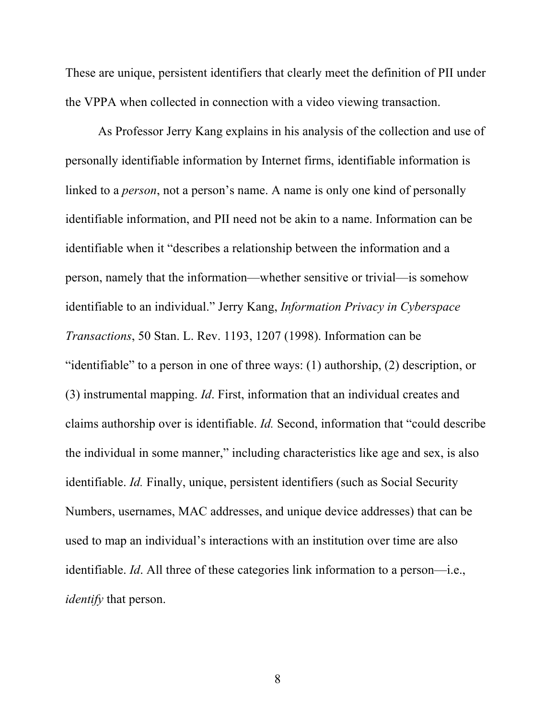These are unique, persistent identifiers that clearly meet the definition of PII under the VPPA when collected in connection with a video viewing transaction.

As Professor Jerry Kang explains in his analysis of the collection and use of personally identifiable information by Internet firms, identifiable information is linked to a *person*, not a person's name. A name is only one kind of personally identifiable information, and PII need not be akin to a name. Information can be identifiable when it "describes a relationship between the information and a person, namely that the information—whether sensitive or trivial—is somehow identifiable to an individual." Jerry Kang, *Information Privacy in Cyberspace Transactions*, 50 Stan. L. Rev. 1193, 1207 (1998). Information can be "identifiable" to a person in one of three ways: (1) authorship, (2) description, or (3) instrumental mapping. *Id*. First, information that an individual creates and claims authorship over is identifiable. *Id.* Second, information that "could describe the individual in some manner," including characteristics like age and sex, is also identifiable. *Id.* Finally, unique, persistent identifiers (such as Social Security Numbers, usernames, MAC addresses, and unique device addresses) that can be used to map an individual's interactions with an institution over time are also identifiable. *Id*. All three of these categories link information to a person—i.e., *identify* that person.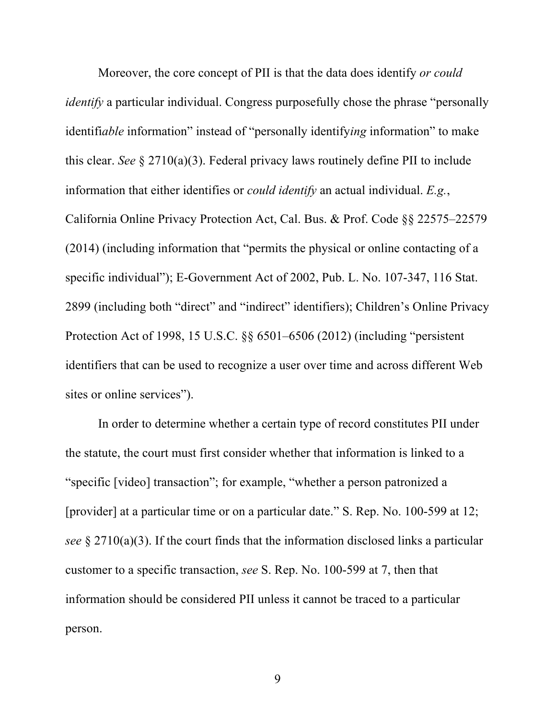Moreover, the core concept of PII is that the data does identify *or could identify* a particular individual. Congress purposefully chose the phrase "personally identifi*able* information" instead of "personally identify*ing* information" to make this clear. *See* § 2710(a)(3). Federal privacy laws routinely define PII to include information that either identifies or *could identify* an actual individual. *E.g.*, California Online Privacy Protection Act, Cal. Bus. & Prof. Code §§ 22575–22579 (2014) (including information that "permits the physical or online contacting of a specific individual"); E-Government Act of 2002, Pub. L. No. 107-347, 116 Stat. 2899 (including both "direct" and "indirect" identifiers); Children's Online Privacy Protection Act of 1998, 15 U.S.C. §§ 6501–6506 (2012) (including "persistent identifiers that can be used to recognize a user over time and across different Web sites or online services").

In order to determine whether a certain type of record constitutes PII under the statute, the court must first consider whether that information is linked to a "specific [video] transaction"; for example, "whether a person patronized a [provider] at a particular time or on a particular date." S. Rep. No. 100-599 at 12; *see* § 2710(a)(3). If the court finds that the information disclosed links a particular customer to a specific transaction, *see* S. Rep. No. 100-599 at 7, then that information should be considered PII unless it cannot be traced to a particular person.

9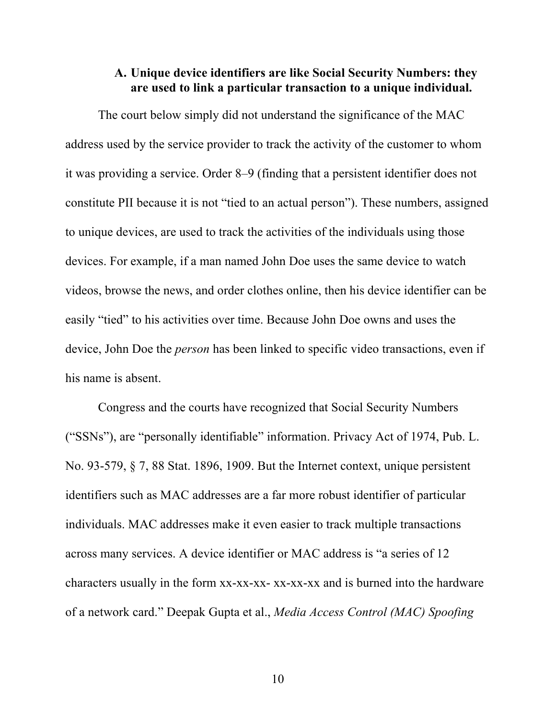### **A. Unique device identifiers are like Social Security Numbers: they are used to link a particular transaction to a unique individual.**

The court below simply did not understand the significance of the MAC address used by the service provider to track the activity of the customer to whom it was providing a service. Order 8–9 (finding that a persistent identifier does not constitute PII because it is not "tied to an actual person"). These numbers, assigned to unique devices, are used to track the activities of the individuals using those devices. For example, if a man named John Doe uses the same device to watch videos, browse the news, and order clothes online, then his device identifier can be easily "tied" to his activities over time. Because John Doe owns and uses the device, John Doe the *person* has been linked to specific video transactions, even if his name is absent.

Congress and the courts have recognized that Social Security Numbers ("SSNs"), are "personally identifiable" information. Privacy Act of 1974, Pub. L. No. 93-579, § 7, 88 Stat. 1896, 1909. But the Internet context, unique persistent identifiers such as MAC addresses are a far more robust identifier of particular individuals. MAC addresses make it even easier to track multiple transactions across many services. A device identifier or MAC address is "a series of 12 characters usually in the form xx-xx-xx- xx-xx-xx and is burned into the hardware of a network card." Deepak Gupta et al., *Media Access Control (MAC) Spoofing* 

10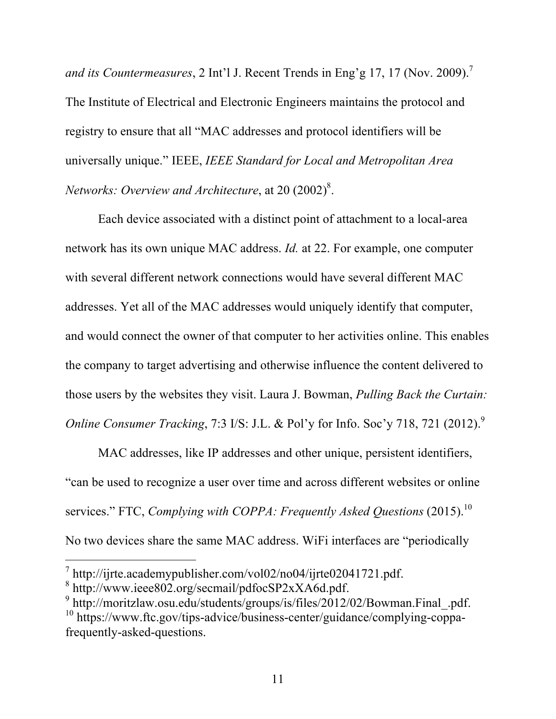*and its Countermeasures*, 2 Int'l J. Recent Trends in Eng'g 17, 17 (Nov. 2009). 7 The Institute of Electrical and Electronic Engineers maintains the protocol and registry to ensure that all "MAC addresses and protocol identifiers will be universally unique." IEEE, *IEEE Standard for Local and Metropolitan Area Networks: Overview and Architecture, at 20 (2002)<sup>8</sup>.* 

Each device associated with a distinct point of attachment to a local-area network has its own unique MAC address. *Id.* at 22. For example, one computer with several different network connections would have several different MAC addresses. Yet all of the MAC addresses would uniquely identify that computer, and would connect the owner of that computer to her activities online. This enables the company to target advertising and otherwise influence the content delivered to those users by the websites they visit. Laura J. Bowman, *Pulling Back the Curtain: Online Consumer Tracking, 7:3 I/S: J.L. & Pol'y for Info. Soc'y 718, 721 (2012).*<sup>9</sup>

MAC addresses, like IP addresses and other unique, persistent identifiers, "can be used to recognize a user over time and across different websites or online services." FTC, *Complying with COPPA: Frequently Asked Questions* (2015). 10 No two devices share the same MAC address. WiFi interfaces are "periodically

l

<sup>&</sup>lt;sup>7</sup> http://ijrte.academypublisher.com/vol02/no04/ijrte02041721.pdf.<br><sup>8</sup> http://www.ieee802.org/secmail/pdfocSP2xXA6d.pdf.<br>9 http://moritzlaw.osu.edu/students/groups/is/files/2012/02/Bowman.Final\_.pdf. <sup>10</sup> https://www.ftc.gov/tips-advice/business-center/guidance/complying-coppafrequently-asked-questions.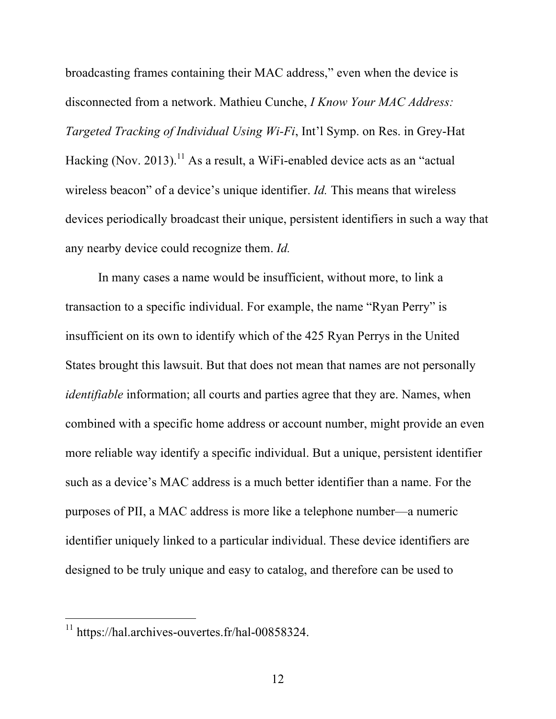broadcasting frames containing their MAC address," even when the device is disconnected from a network. Mathieu Cunche, *I Know Your MAC Address: Targeted Tracking of Individual Using Wi-Fi*, Int'l Symp. on Res. in Grey-Hat Hacking (Nov. 2013).<sup>11</sup> As a result, a WiFi-enabled device acts as an "actual wireless beacon" of a device's unique identifier. *Id.* This means that wireless devices periodically broadcast their unique, persistent identifiers in such a way that any nearby device could recognize them. *Id.*

In many cases a name would be insufficient, without more, to link a transaction to a specific individual. For example, the name "Ryan Perry" is insufficient on its own to identify which of the 425 Ryan Perrys in the United States brought this lawsuit. But that does not mean that names are not personally *identifiable* information; all courts and parties agree that they are. Names, when combined with a specific home address or account number, might provide an even more reliable way identify a specific individual. But a unique, persistent identifier such as a device's MAC address is a much better identifier than a name. For the purposes of PII, a MAC address is more like a telephone number—a numeric identifier uniquely linked to a particular individual. These device identifiers are designed to be truly unique and easy to catalog, and therefore can be used to

<sup>&</sup>lt;sup>11</sup> https://hal.archives-ouvertes.fr/hal-00858324.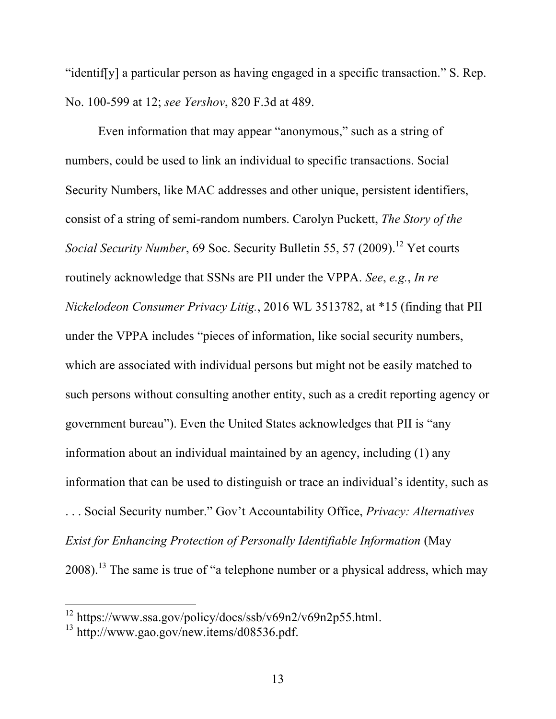"identif[y] a particular person as having engaged in a specific transaction." S. Rep. No. 100-599 at 12; *see Yershov*, 820 F.3d at 489.

Even information that may appear "anonymous," such as a string of numbers, could be used to link an individual to specific transactions. Social Security Numbers, like MAC addresses and other unique, persistent identifiers, consist of a string of semi-random numbers. Carolyn Puckett, *The Story of the Social Security Number*, 69 Soc. Security Bulletin 55, 57 (2009). <sup>12</sup> Yet courts routinely acknowledge that SSNs are PII under the VPPA. *See*, *e.g.*, *In re Nickelodeon Consumer Privacy Litig.*, 2016 WL 3513782, at \*15 (finding that PII under the VPPA includes "pieces of information, like social security numbers, which are associated with individual persons but might not be easily matched to such persons without consulting another entity, such as a credit reporting agency or government bureau"). Even the United States acknowledges that PII is "any information about an individual maintained by an agency, including (1) any information that can be used to distinguish or trace an individual's identity, such as . . . Social Security number." Gov't Accountability Office, *Privacy: Alternatives Exist for Enhancing Protection of Personally Identifiable Information* (May  $2008$ ).<sup>13</sup> The same is true of "a telephone number or a physical address, which may

<sup>&</sup>lt;sup>12</sup> https://www.ssa.gov/policy/docs/ssb/v69n2/v69n2p55.html.<br><sup>13</sup> http://www.gao.gov/new.items/d08536.pdf.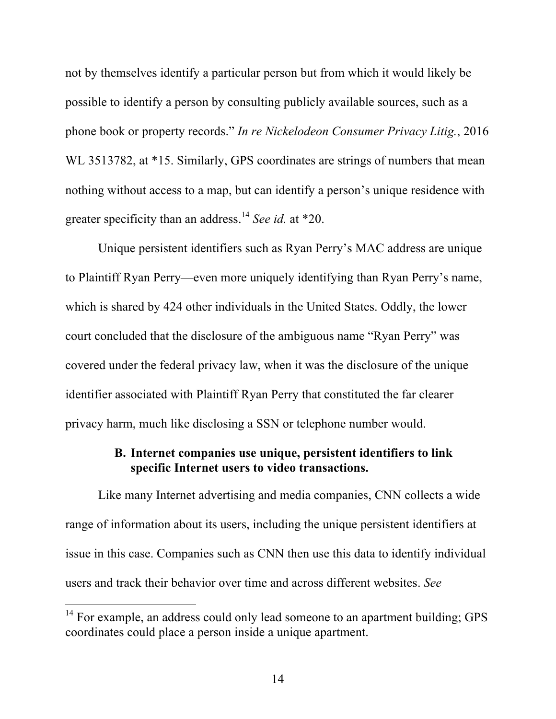not by themselves identify a particular person but from which it would likely be possible to identify a person by consulting publicly available sources, such as a phone book or property records." *In re Nickelodeon Consumer Privacy Litig.*, 2016 WL 3513782, at \*15. Similarly, GPS coordinates are strings of numbers that mean nothing without access to a map, but can identify a person's unique residence with greater specificity than an address. <sup>14</sup> *See id.* at \*20.

Unique persistent identifiers such as Ryan Perry's MAC address are unique to Plaintiff Ryan Perry—even more uniquely identifying than Ryan Perry's name, which is shared by 424 other individuals in the United States. Oddly, the lower court concluded that the disclosure of the ambiguous name "Ryan Perry" was covered under the federal privacy law, when it was the disclosure of the unique identifier associated with Plaintiff Ryan Perry that constituted the far clearer privacy harm, much like disclosing a SSN or telephone number would.

## **B. Internet companies use unique, persistent identifiers to link specific Internet users to video transactions.**

Like many Internet advertising and media companies, CNN collects a wide range of information about its users, including the unique persistent identifiers at issue in this case. Companies such as CNN then use this data to identify individual users and track their behavior over time and across different websites. *See* 

 $14$  For example, an address could only lead someone to an apartment building; GPS coordinates could place a person inside a unique apartment.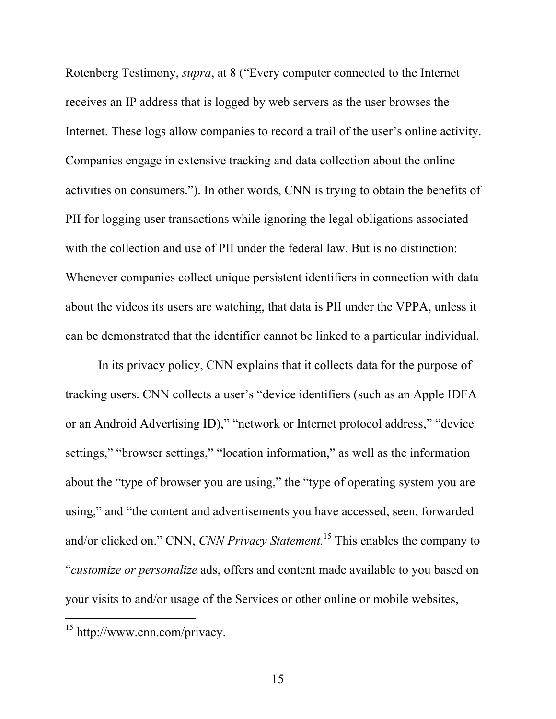Rotenberg Testimony, *supra*, at 8 ("Every computer connected to the Internet receives an IP address that is logged by web servers as the user browses the Internet. These logs allow companies to record a trail of the user's online activity. Companies engage in extensive tracking and data collection about the online activities on consumers."). In other words, CNN is trying to obtain the benefits of PII for logging user transactions while ignoring the legal obligations associated with the collection and use of PII under the federal law. But is no distinction: Whenever companies collect unique persistent identifiers in connection with data about the videos its users are watching, that data is PII under the VPPA, unless it can be demonstrated that the identifier cannot be linked to a particular individual.

In its privacy policy, CNN explains that it collects data for the purpose of tracking users. CNN collects a user's "device identifiers (such as an Apple IDFA or an Android Advertising ID)," "network or Internet protocol address," "device settings," "browser settings," "location information," as well as the information about the "type of browser you are using," the "type of operating system you are using," and "the content and advertisements you have accessed, seen, forwarded and/or clicked on." CNN, *CNN Privacy Statement.* <sup>15</sup> This enables the company to "*customize or personalize* ads, offers and content made available to you based on your visits to and/or usage of the Services or other online or mobile websites,

<sup>15</sup> http://www.cnn.com/privacy.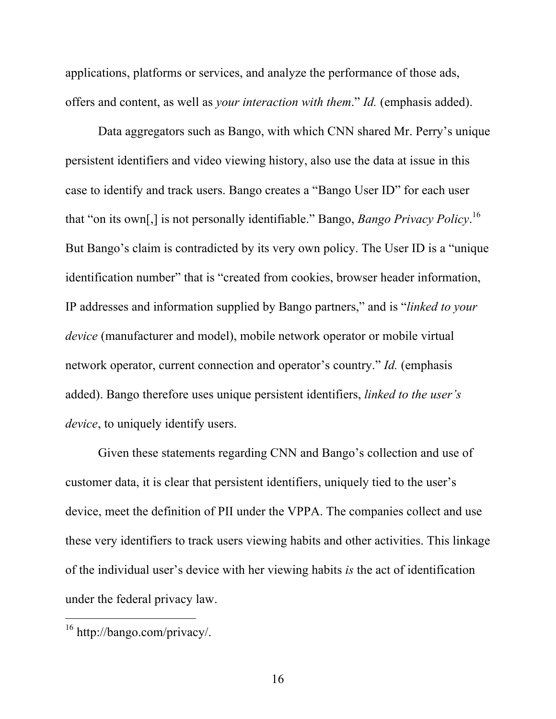applications, platforms or services, and analyze the performance of those ads, offers and content, as well as *your interaction with them*." *Id.* (emphasis added).

Data aggregators such as Bango, with which CNN shared Mr. Perry's unique persistent identifiers and video viewing history, also use the data at issue in this case to identify and track users. Bango creates a "Bango User ID" for each user that "on its own[,] is not personally identifiable." Bango, *Bango Privacy Policy*. 16 But Bango's claim is contradicted by its very own policy. The User ID is a "unique identification number" that is "created from cookies, browser header information, IP addresses and information supplied by Bango partners," and is "*linked to your device* (manufacturer and model), mobile network operator or mobile virtual network operator, current connection and operator's country." *Id.* (emphasis added). Bango therefore uses unique persistent identifiers, *linked to the user's device*, to uniquely identify users.

Given these statements regarding CNN and Bango's collection and use of customer data, it is clear that persistent identifiers, uniquely tied to the user's device, meet the definition of PII under the VPPA. The companies collect and use these very identifiers to track users viewing habits and other activities. This linkage of the individual user's device with her viewing habits *is* the act of identification under the federal privacy law.

<sup>16</sup> http://bango.com/privacy/.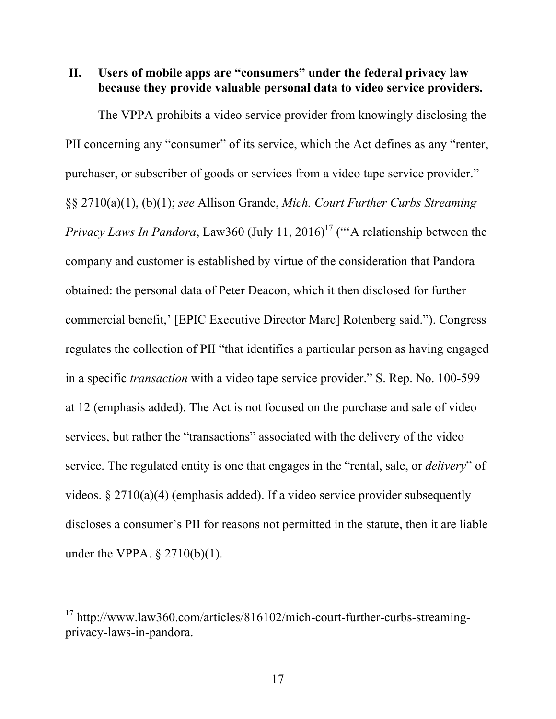## **II. Users of mobile apps are "consumers" under the federal privacy law because they provide valuable personal data to video service providers.**

The VPPA prohibits a video service provider from knowingly disclosing the PII concerning any "consumer" of its service, which the Act defines as any "renter, purchaser, or subscriber of goods or services from a video tape service provider." §§ 2710(a)(1), (b)(1); *see* Allison Grande, *Mich. Court Further Curbs Streaming Privacy Laws In Pandora*, Law360 (July 11, 2016)<sup>17</sup> ("A relationship between the company and customer is established by virtue of the consideration that Pandora obtained: the personal data of Peter Deacon, which it then disclosed for further commercial benefit,' [EPIC Executive Director Marc] Rotenberg said."). Congress regulates the collection of PII "that identifies a particular person as having engaged in a specific *transaction* with a video tape service provider." S. Rep. No. 100-599 at 12 (emphasis added). The Act is not focused on the purchase and sale of video services, but rather the "transactions" associated with the delivery of the video service. The regulated entity is one that engages in the "rental, sale, or *delivery*" of videos. § 2710(a)(4) (emphasis added). If a video service provider subsequently discloses a consumer's PII for reasons not permitted in the statute, then it are liable under the VPPA. § 2710(b)(1).

<sup>&</sup>lt;sup>17</sup> http://www.law360.com/articles/816102/mich-court-further-curbs-streamingprivacy-laws-in-pandora.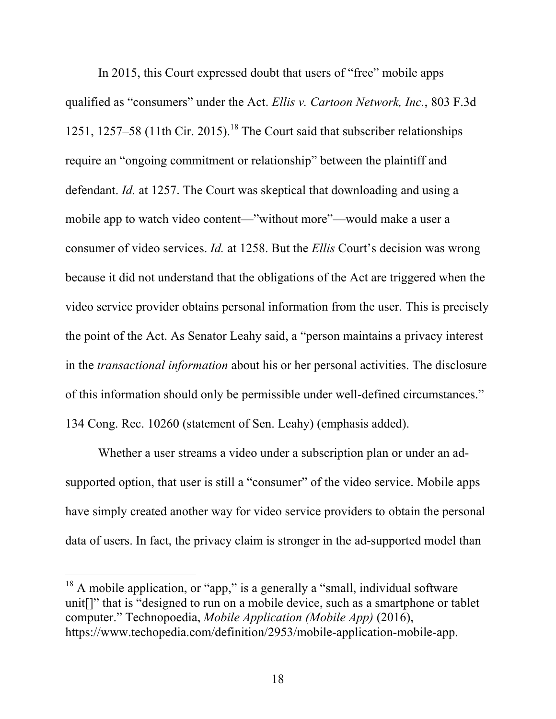In 2015, this Court expressed doubt that users of "free" mobile apps qualified as "consumers" under the Act. *Ellis v. Cartoon Network, Inc.*, 803 F.3d 1251, 1257–58 (11th Cir. 2015). <sup>18</sup> The Court said that subscriber relationships require an "ongoing commitment or relationship" between the plaintiff and defendant. *Id.* at 1257. The Court was skeptical that downloading and using a mobile app to watch video content—"without more"—would make a user a consumer of video services. *Id.* at 1258. But the *Ellis* Court's decision was wrong because it did not understand that the obligations of the Act are triggered when the video service provider obtains personal information from the user. This is precisely the point of the Act. As Senator Leahy said, a "person maintains a privacy interest in the *transactional information* about his or her personal activities. The disclosure of this information should only be permissible under well-defined circumstances." 134 Cong. Rec. 10260 (statement of Sen. Leahy) (emphasis added).

Whether a user streams a video under a subscription plan or under an adsupported option, that user is still a "consumer" of the video service. Mobile apps have simply created another way for video service providers to obtain the personal data of users. In fact, the privacy claim is stronger in the ad-supported model than

 $18$  A mobile application, or "app," is a generally a "small, individual software unit[]" that is "designed to run on a mobile device, such as a smartphone or tablet computer." Technopoedia, *Mobile Application (Mobile App)* (2016), https://www.techopedia.com/definition/2953/mobile-application-mobile-app.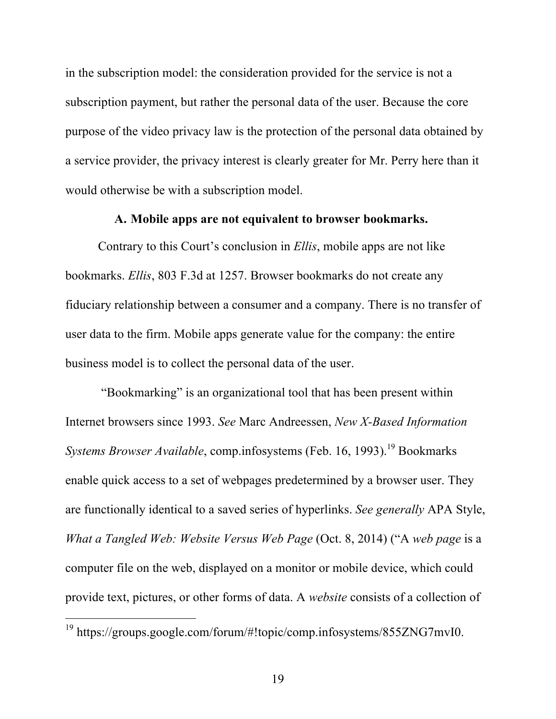in the subscription model: the consideration provided for the service is not a subscription payment, but rather the personal data of the user. Because the core purpose of the video privacy law is the protection of the personal data obtained by a service provider, the privacy interest is clearly greater for Mr. Perry here than it would otherwise be with a subscription model.

## **A. Mobile apps are not equivalent to browser bookmarks.**

Contrary to this Court's conclusion in *Ellis*, mobile apps are not like bookmarks. *Ellis*, 803 F.3d at 1257. Browser bookmarks do not create any fiduciary relationship between a consumer and a company. There is no transfer of user data to the firm. Mobile apps generate value for the company: the entire business model is to collect the personal data of the user.

"Bookmarking" is an organizational tool that has been present within Internet browsers since 1993. *See* Marc Andreessen, *New X-Based Information Systems Browser Available*, comp.infosystems (Feb. 16, 1993). <sup>19</sup> Bookmarks enable quick access to a set of webpages predetermined by a browser user. They are functionally identical to a saved series of hyperlinks. *See generally* APA Style, *What a Tangled Web: Website Versus Web Page* (Oct. 8, 2014) ("A *web page* is a computer file on the web, displayed on a monitor or mobile device, which could provide text, pictures, or other forms of data. A *website* consists of a collection of

<sup>19</sup> https://groups.google.com/forum/#!topic/comp.infosystems/855ZNG7mvI0.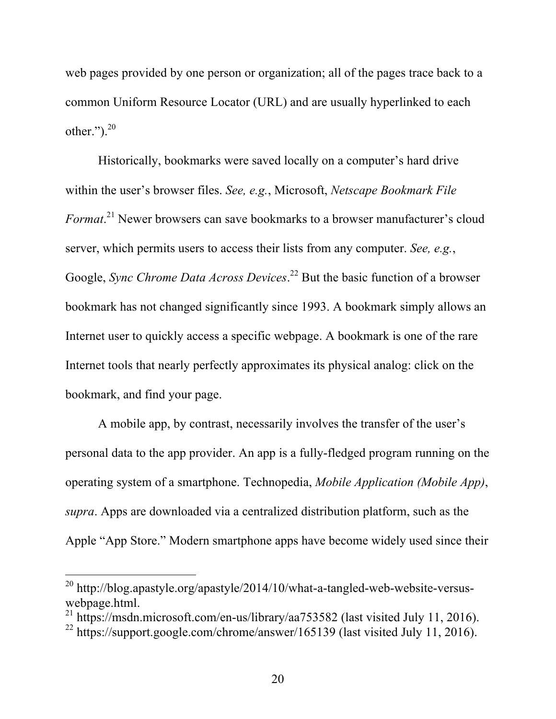web pages provided by one person or organization; all of the pages trace back to a common Uniform Resource Locator (URL) and are usually hyperlinked to each other." $)^{20}$ 

Historically, bookmarks were saved locally on a computer's hard drive within the user's browser files. *See, e.g.*, Microsoft, *Netscape Bookmark File Format*. <sup>21</sup> Newer browsers can save bookmarks to a browser manufacturer's cloud server, which permits users to access their lists from any computer. *See, e.g.*, Google, *Sync Chrome Data Across Devices*. <sup>22</sup> But the basic function of a browser bookmark has not changed significantly since 1993. A bookmark simply allows an Internet user to quickly access a specific webpage. A bookmark is one of the rare Internet tools that nearly perfectly approximates its physical analog: click on the bookmark, and find your page.

A mobile app, by contrast, necessarily involves the transfer of the user's personal data to the app provider. An app is a fully-fledged program running on the operating system of a smartphone. Technopedia, *Mobile Application (Mobile App)*, *supra*. Apps are downloaded via a centralized distribution platform, such as the Apple "App Store." Modern smartphone apps have become widely used since their

<sup>20</sup> http://blog.apastyle.org/apastyle/2014/10/what-a-tangled-web-website-versuswebpage.html.<br><sup>21</sup> https://msdn.microsoft.com/en-us/library/aa753582 (last visited July 11, 2016).

<sup>&</sup>lt;sup>22</sup> https://support.google.com/chrome/answer/165139 (last visited July 11, 2016).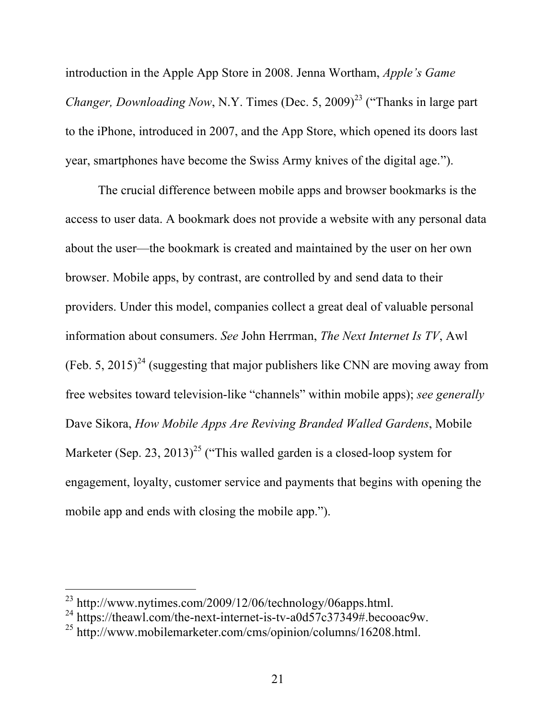introduction in the Apple App Store in 2008. Jenna Wortham, *Apple's Game Changer, Downloading Now, N.Y. Times (Dec. 5, 2009)*<sup>23</sup> ("Thanks in large part to the iPhone, introduced in 2007, and the App Store, which opened its doors last year, smartphones have become the Swiss Army knives of the digital age.").

The crucial difference between mobile apps and browser bookmarks is the access to user data. A bookmark does not provide a website with any personal data about the user—the bookmark is created and maintained by the user on her own browser. Mobile apps, by contrast, are controlled by and send data to their providers. Under this model, companies collect a great deal of valuable personal information about consumers. *See* John Herrman, *The Next Internet Is TV*, Awl (Feb. 5, 2015)<sup>24</sup> (suggesting that major publishers like CNN are moving away from free websites toward television-like "channels" within mobile apps); *see generally*  Dave Sikora, *How Mobile Apps Are Reviving Branded Walled Gardens*, Mobile Marketer (Sep. 23, 2013)<sup>25</sup> ("This walled garden is a closed-loop system for engagement, loyalty, customer service and payments that begins with opening the mobile app and ends with closing the mobile app.").

<sup>23</sup> http://www.nytimes.com/2009/12/06/technology/06apps.html.

<sup>&</sup>lt;sup>24</sup> https://theawl.com/the-next-internet-is-tv-a0d57c37349#.becooac9w.

<sup>25</sup> http://www.mobilemarketer.com/cms/opinion/columns/16208.html.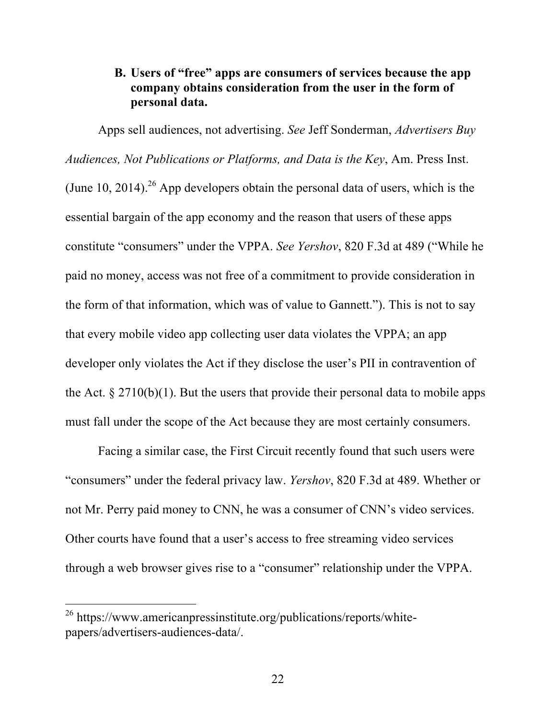## **B. Users of "free" apps are consumers of services because the app company obtains consideration from the user in the form of personal data.**

Apps sell audiences, not advertising. *See* Jeff Sonderman, *Advertisers Buy Audiences, Not Publications or Platforms, and Data is the Key*, Am. Press Inst. (June 10, 2014).<sup>26</sup> App developers obtain the personal data of users, which is the essential bargain of the app economy and the reason that users of these apps constitute "consumers" under the VPPA. *See Yershov*, 820 F.3d at 489 ("While he paid no money, access was not free of a commitment to provide consideration in the form of that information, which was of value to Gannett."). This is not to say that every mobile video app collecting user data violates the VPPA; an app developer only violates the Act if they disclose the user's PII in contravention of the Act.  $\S 2710(b)(1)$ . But the users that provide their personal data to mobile apps must fall under the scope of the Act because they are most certainly consumers.

Facing a similar case, the First Circuit recently found that such users were "consumers" under the federal privacy law. *Yershov*, 820 F.3d at 489. Whether or not Mr. Perry paid money to CNN, he was a consumer of CNN's video services. Other courts have found that a user's access to free streaming video services through a web browser gives rise to a "consumer" relationship under the VPPA.

<sup>26</sup> https://www.americanpressinstitute.org/publications/reports/whitepapers/advertisers-audiences-data/.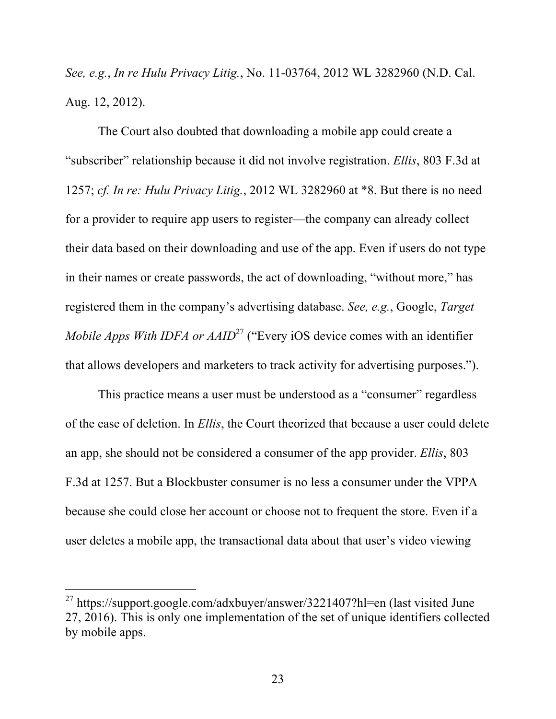*See, e.g.*, *In re Hulu Privacy Litig.*, No. 11-03764, 2012 WL 3282960 (N.D. Cal. Aug. 12, 2012).

The Court also doubted that downloading a mobile app could create a "subscriber" relationship because it did not involve registration. *Ellis*, 803 F.3d at 1257; *cf. In re: Hulu Privacy Litig.*, 2012 WL 3282960 at \*8. But there is no need for a provider to require app users to register—the company can already collect their data based on their downloading and use of the app. Even if users do not type in their names or create passwords, the act of downloading, "without more," has registered them in the company's advertising database. *See, e.g.*, Google, *Target Mobile Apps With IDFA or AAID*<sup>27</sup> ("Every iOS device comes with an identifier that allows developers and marketers to track activity for advertising purposes.").

This practice means a user must be understood as a "consumer" regardless of the ease of deletion. In *Ellis*, the Court theorized that because a user could delete an app, she should not be considered a consumer of the app provider. *Ellis*, 803 F.3d at 1257. But a Blockbuster consumer is no less a consumer under the VPPA because she could close her account or choose not to frequent the store. Even if a user deletes a mobile app, the transactional data about that user's video viewing

<sup>27</sup> https://support.google.com/adxbuyer/answer/3221407?hl=en (last visited June 27, 2016). This is only one implementation of the set of unique identifiers collected by mobile apps.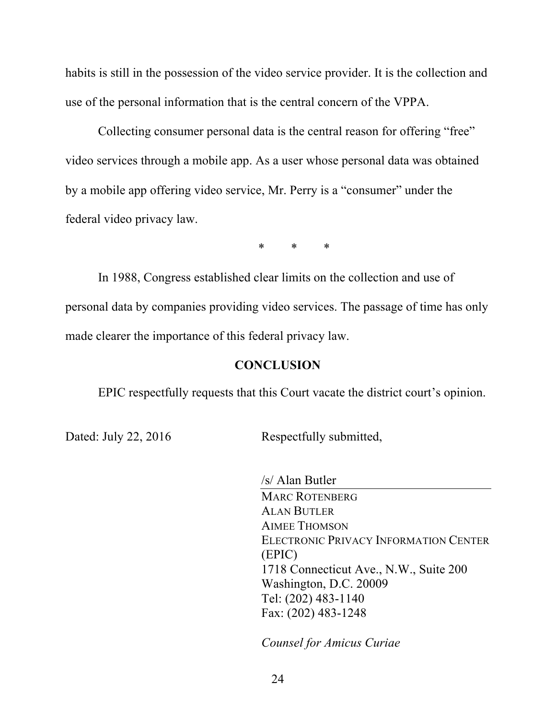habits is still in the possession of the video service provider. It is the collection and use of the personal information that is the central concern of the VPPA.

Collecting consumer personal data is the central reason for offering "free" video services through a mobile app. As a user whose personal data was obtained by a mobile app offering video service, Mr. Perry is a "consumer" under the federal video privacy law.

\* \* \*

In 1988, Congress established clear limits on the collection and use of personal data by companies providing video services. The passage of time has only made clearer the importance of this federal privacy law.

### **CONCLUSION**

EPIC respectfully requests that this Court vacate the district court's opinion.

Dated: July 22, 2016 Respectfully submitted,

/s/ Alan Butler MARC ROTENBERG ALAN BUTLER AIMEE THOMSON ELECTRONIC PRIVACY INFORMATION CENTER (EPIC) 1718 Connecticut Ave., N.W., Suite 200 Washington, D.C. 20009 Tel: (202) 483-1140 Fax: (202) 483-1248

*Counsel for Amicus Curiae*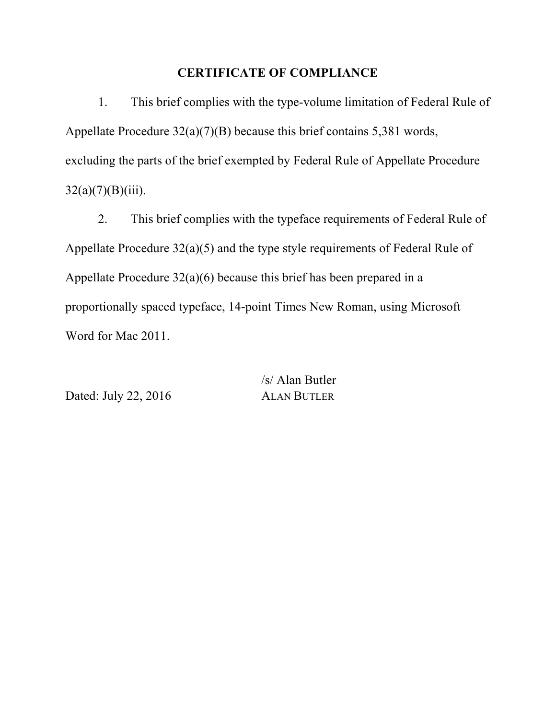### **CERTIFICATE OF COMPLIANCE**

1. This brief complies with the type-volume limitation of Federal Rule of Appellate Procedure 32(a)(7)(B) because this brief contains 5,381 words, excluding the parts of the brief exempted by Federal Rule of Appellate Procedure  $32(a)(7)(B)(iii)$ .

2. This brief complies with the typeface requirements of Federal Rule of Appellate Procedure 32(a)(5) and the type style requirements of Federal Rule of Appellate Procedure 32(a)(6) because this brief has been prepared in a proportionally spaced typeface, 14-point Times New Roman, using Microsoft Word for Mac 2011.

Dated: July 22, 2016 ALAN BUTLER

/s/ Alan Butler